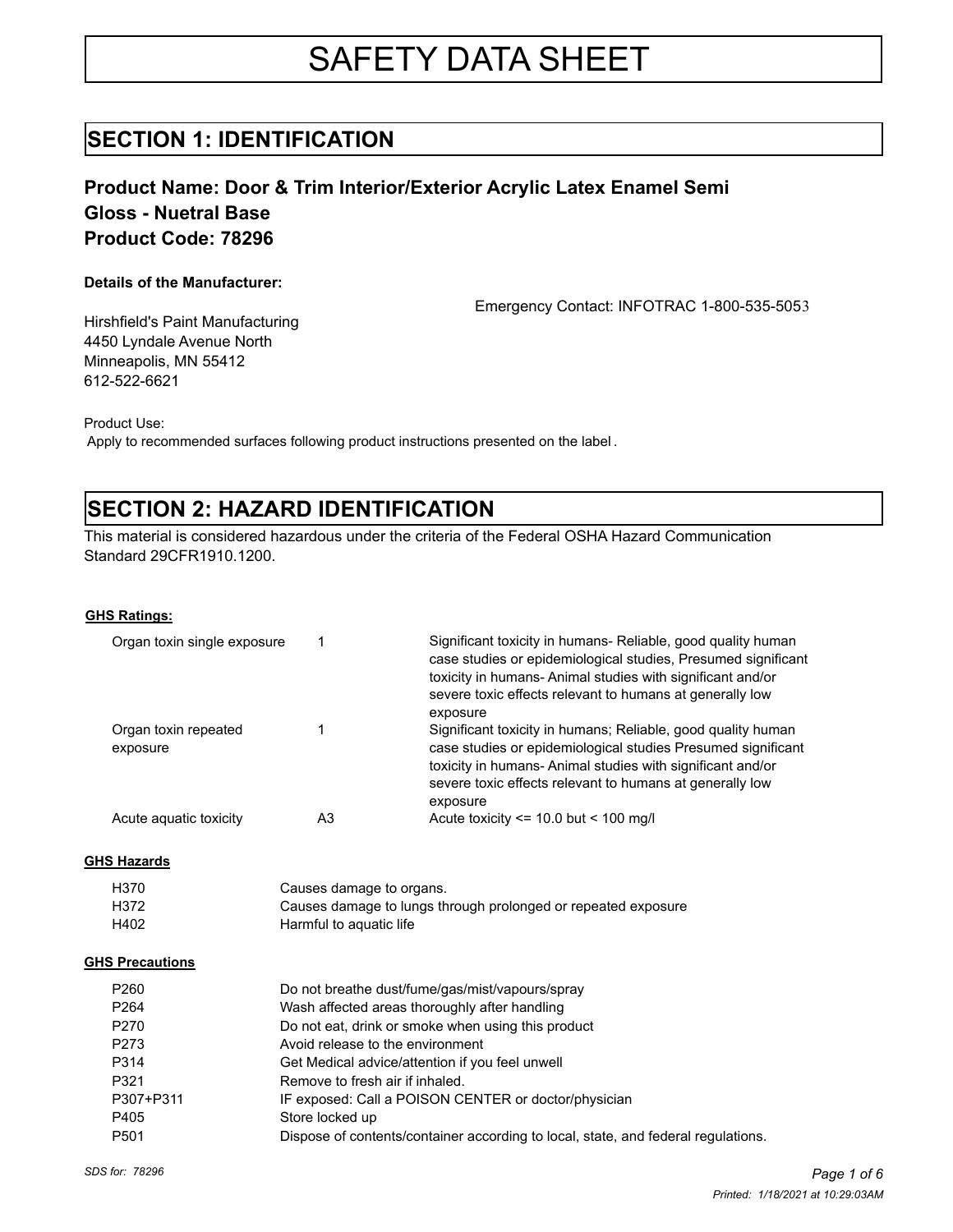# SAFETY DATA SHEET

### **SECTION 1: IDENTIFICATION**

### **Product Name: Door & Trim Interior/Exterior Acrylic Latex Enamel Semi Gloss - Nuetral Base Product Code: 78296**

#### **Details of the Manufacturer:**

Emergency Contact: INFOTRAC 1-800-535-5053

Hirshfield's Paint Manufacturing 4450 Lyndale Avenue North Minneapolis, MN 55412 612-522-6621

Product Use:

Apply to recommended surfaces following product instructions presented on the label .

# **SECTION 2: HAZARD IDENTIFICATION**

This material is considered hazardous under the criteria of the Federal OSHA Hazard Communication Standard 29CFR1910.1200.

#### **GHS Ratings:**

| Organ toxin single exposure      |    | Significant toxicity in humans- Reliable, good quality human<br>case studies or epidemiological studies, Presumed significant<br>toxicity in humans-Animal studies with significant and/or<br>severe toxic effects relevant to humans at generally low             |
|----------------------------------|----|--------------------------------------------------------------------------------------------------------------------------------------------------------------------------------------------------------------------------------------------------------------------|
| Organ toxin repeated<br>exposure |    | exposure<br>Significant toxicity in humans; Reliable, good quality human<br>case studies or epidemiological studies Presumed significant<br>toxicity in humans- Animal studies with significant and/or<br>severe toxic effects relevant to humans at generally low |
| Acute aguatic toxicity           | A3 | exposure<br>Acute toxicity $\le$ 10.0 but $\le$ 100 mg/l                                                                                                                                                                                                           |

#### **GHS Hazards**

| H370 | Causes damage to organs.                                      |
|------|---------------------------------------------------------------|
| H372 | Causes damage to lungs through prolonged or repeated exposure |
| H402 | Harmful to aguatic life                                       |

#### **GHS Precautions**

| P <sub>260</sub> | Do not breathe dust/fume/gas/mist/vapours/spray                                   |
|------------------|-----------------------------------------------------------------------------------|
| P <sub>264</sub> | Wash affected areas thoroughly after handling                                     |
| P <sub>270</sub> | Do not eat, drink or smoke when using this product                                |
| P273             | Avoid release to the environment                                                  |
| P314             | Get Medical advice/attention if you feel unwell                                   |
| P321             | Remove to fresh air if inhaled.                                                   |
| P307+P311        | IF exposed: Call a POISON CENTER or doctor/physician                              |
| P405             | Store locked up                                                                   |
| P <sub>501</sub> | Dispose of contents/container according to local, state, and federal regulations. |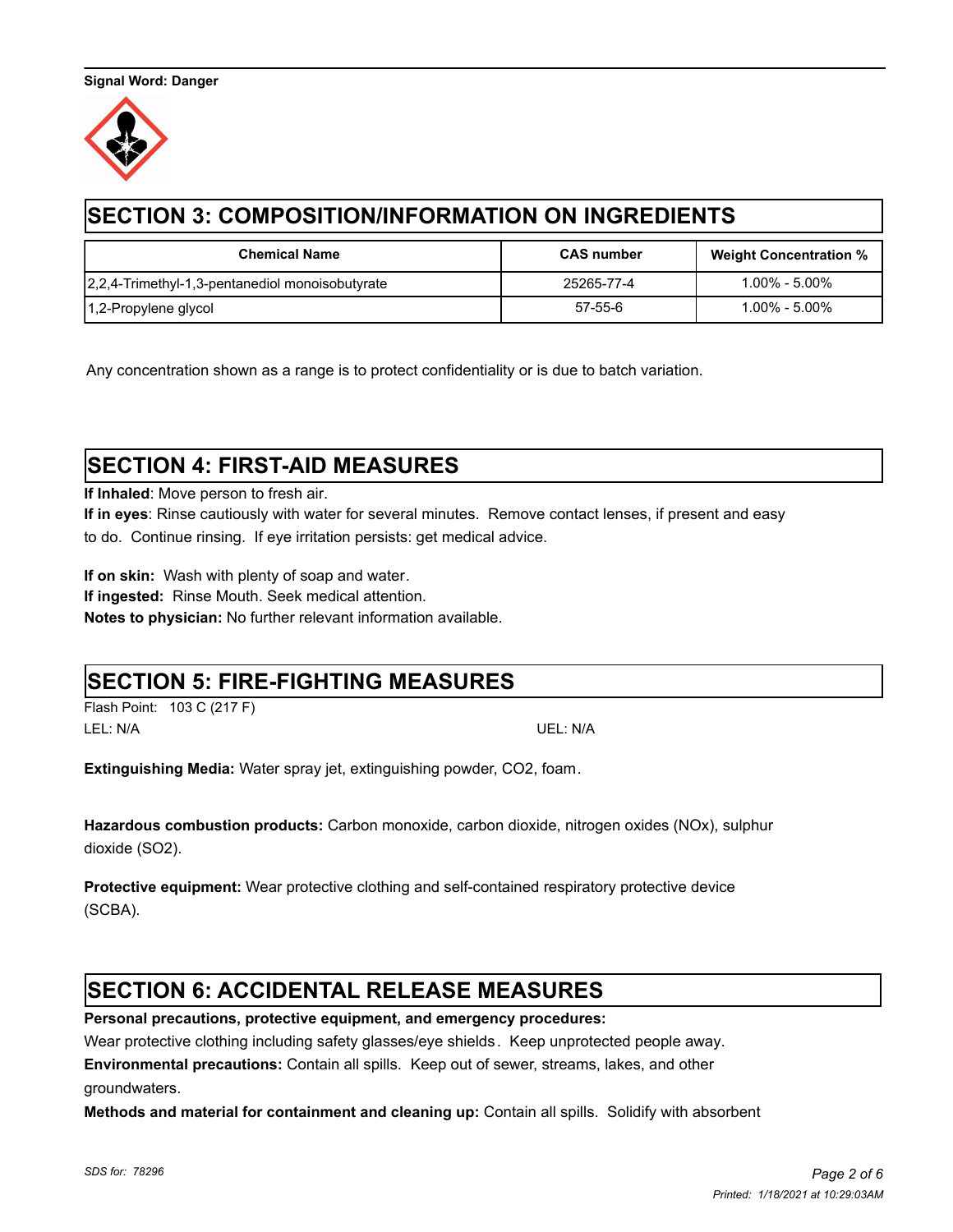

# **SECTION 3: COMPOSITION/INFORMATION ON INGREDIENTS**

| <b>Chemical Name</b>                            | <b>CAS number</b> | <b>Weight Concentration %</b> |
|-------------------------------------------------|-------------------|-------------------------------|
| 2,2,4-Trimethyl-1,3-pentanediol monoisobutyrate | 25265-77-4        | 1.00% - 5.00%                 |
| 1,2-Propylene glycol                            | 57-55-6           | $1.00\%$ - $5.00\%$           |

Any concentration shown as a range is to protect confidentiality or is due to batch variation.

# **SECTION 4: FIRST-AID MEASURES**

**If Inhaled**: Move person to fresh air.

**If in eyes**: Rinse cautiously with water for several minutes. Remove contact lenses, if present and easy to do. Continue rinsing. If eye irritation persists: get medical advice.

**If on skin:** Wash with plenty of soap and water.

**If ingested:** Rinse Mouth. Seek medical attention.

**Notes to physician:** No further relevant information available.

### **SECTION 5: FIRE-FIGHTING MEASURES**

Flash Point: 103 C (217 F) LEL: N/A UEL: N/A

**Extinguishing Media:** Water spray jet, extinguishing powder, CO2, foam.

**Hazardous combustion products:** Carbon monoxide, carbon dioxide, nitrogen oxides (NOx), sulphur dioxide (SO2).

**Protective equipment:** Wear protective clothing and self-contained respiratory protective device (SCBA).

# **SECTION 6: ACCIDENTAL RELEASE MEASURES**

**Personal precautions, protective equipment, and emergency procedures:** 

Wear protective clothing including safety glasses/eye shields. Keep unprotected people away.

**Environmental precautions:** Contain all spills.Keep out of sewer, streams, lakes, and other

groundwaters.

**Methods and material for containment and cleaning up:** Contain all spills. Solidify with absorbent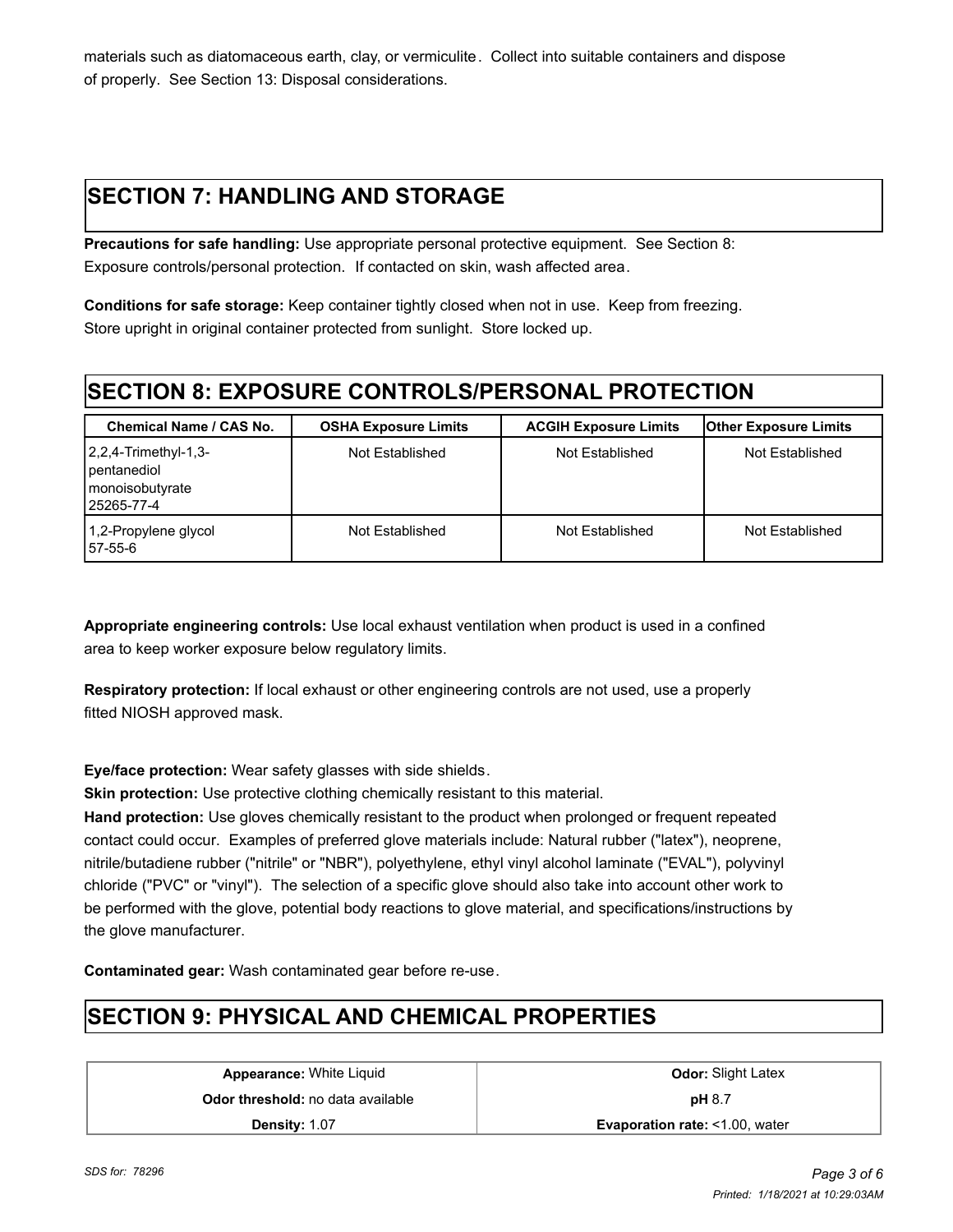materials such as diatomaceous earth, clay, or vermiculite. Collect into suitable containers and dispose of properly. See Section 13: Disposal considerations.

# **SECTION 7: HANDLING AND STORAGE**

**Precautions for safe handling:** Use appropriate personal protective equipment. See Section 8: Exposure controls/personal protection. If contacted on skin, wash affected area.

**Conditions for safe storage:** Keep container tightly closed when not in use. Keep from freezing. Store upright in original container protected from sunlight. Store locked up.

# **SECTION 8: EXPOSURE CONTROLS/PERSONAL PROTECTION**

| <b>Chemical Name / CAS No.</b>                                                   | <b>OSHA Exposure Limits</b> | <b>ACGIH Exposure Limits</b> | <b>Other Exposure Limits</b> |
|----------------------------------------------------------------------------------|-----------------------------|------------------------------|------------------------------|
| $2,2,4$ -Trimethyl-1,3-<br>pentanediol<br><b>I</b> monoisobutyrate<br>25265-77-4 | Not Established             | Not Established              | Not Established              |
| 1,2-Propylene glycol<br>57-55-6                                                  | Not Established             | Not Established              | Not Established              |

**Appropriate engineering controls:** Use local exhaust ventilation when product is used in a confined area to keep worker exposure below regulatory limits.

**Respiratory protection:** If local exhaust or other engineering controls are not used, use a properly fitted NIOSH approved mask.

**Eye/face protection:** Wear safety glasses with side shields.

**Skin protection:** Use protective clothing chemically resistant to this material.

**Hand protection:** Use gloves chemically resistant to the product when prolonged or frequent repeated contact could occur. Examples of preferred glove materials include: Natural rubber ("latex"), neoprene, nitrile/butadiene rubber ("nitrile" or "NBR"), polyethylene, ethyl vinyl alcohol laminate ("EVAL"), polyvinyl chloride ("PVC" or "vinyl"). The selection of a specific glove should also take into account other work to be performed with the glove, potential body reactions to glove material, and specifications/instructions by the glove manufacturer.

**Contaminated gear:** Wash contaminated gear before re-use.

# **SECTION 9: PHYSICAL AND CHEMICAL PROPERTIES**

**Appearance:** White Liquid **Constanting Constanting Constanting Odor:** Slight Latex **Odor threshold:** no data available **pH** 8.7

**Density:** 1.07 **Evaporation rate:** <1.00, water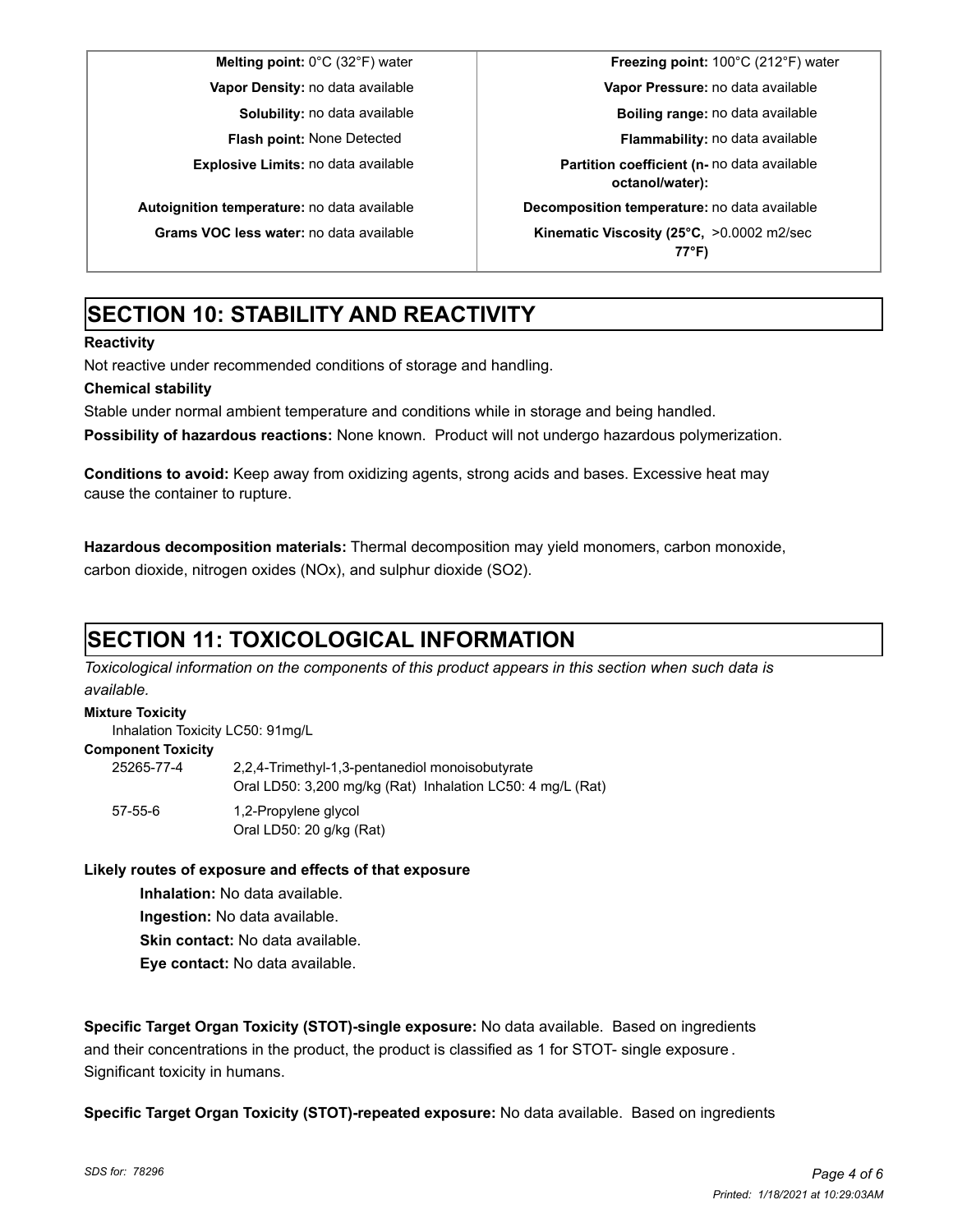**Melting point:** 0°C (32°F) water **Freezing point:** 100°C (212°F) water **Vapor Density:** no data available **Vapor Pressure:** no data available **Solubility:** no data available **Boiling range:** no data available **Flash point:** None Detected **Flammability:** no data available **Explosive Limits:** no data available **Partition coefficient (n-** no data available **octanol/water): Autoignition temperature:** no data available **Decomposition temperature:** no data available **Grams VOC less water:** no data available **Kinematic Viscosity (25°C,** >0.0002 m2/sec **77°F)**

# **SECTION 10: STABILITY AND REACTIVITY**

#### **Reactivity**

Not reactive under recommended conditions of storage and handling.

### **Chemical stability**

Stable under normal ambient temperature and conditions while in storage and being handled.

**Possibility of hazardous reactions:** None known. Product will not undergo hazardous polymerization.

**Conditions to avoid:** Keep away from oxidizing agents, strong acids and bases. Excessive heat may cause the container to rupture.

**Hazardous decomposition materials:** Thermal decomposition may yield monomers, carbon monoxide, carbon dioxide, nitrogen oxides (NOx), and sulphur dioxide (SO2).

# **SECTION 11: TOXICOLOGICAL INFORMATION**

*Toxicological information on the components of this product appears in this section when such data is available.*

### **Mixture Toxicity**

Inhalation Toxicity LC50: 91mg/L

#### **Component Toxicity**

| 25265-77-4    | 2.2.4-Trimethyl-1.3-pentanediol monoisobutyrate<br>Oral LD50: 3,200 mg/kg (Rat) Inhalation LC50: 4 mg/L (Rat) |
|---------------|---------------------------------------------------------------------------------------------------------------|
| $57 - 55 - 6$ | 1,2-Propylene glycol<br>Oral LD50: 20 g/kg (Rat)                                                              |

#### **Likely routes of exposure and effects of that exposure**

**Inhalation:** No data available.

**Ingestion:** No data available.

**Skin contact:** No data available.

**Eye contact:** No data available.

**Specific Target Organ Toxicity (STOT)-single exposure:** No data available. Based on ingredients and their concentrations in the product, the product is classified as 1 for STOT- single exposure . Significant toxicity in humans.

**Specific Target Organ Toxicity (STOT)-repeated exposure:** No data available. Based on ingredients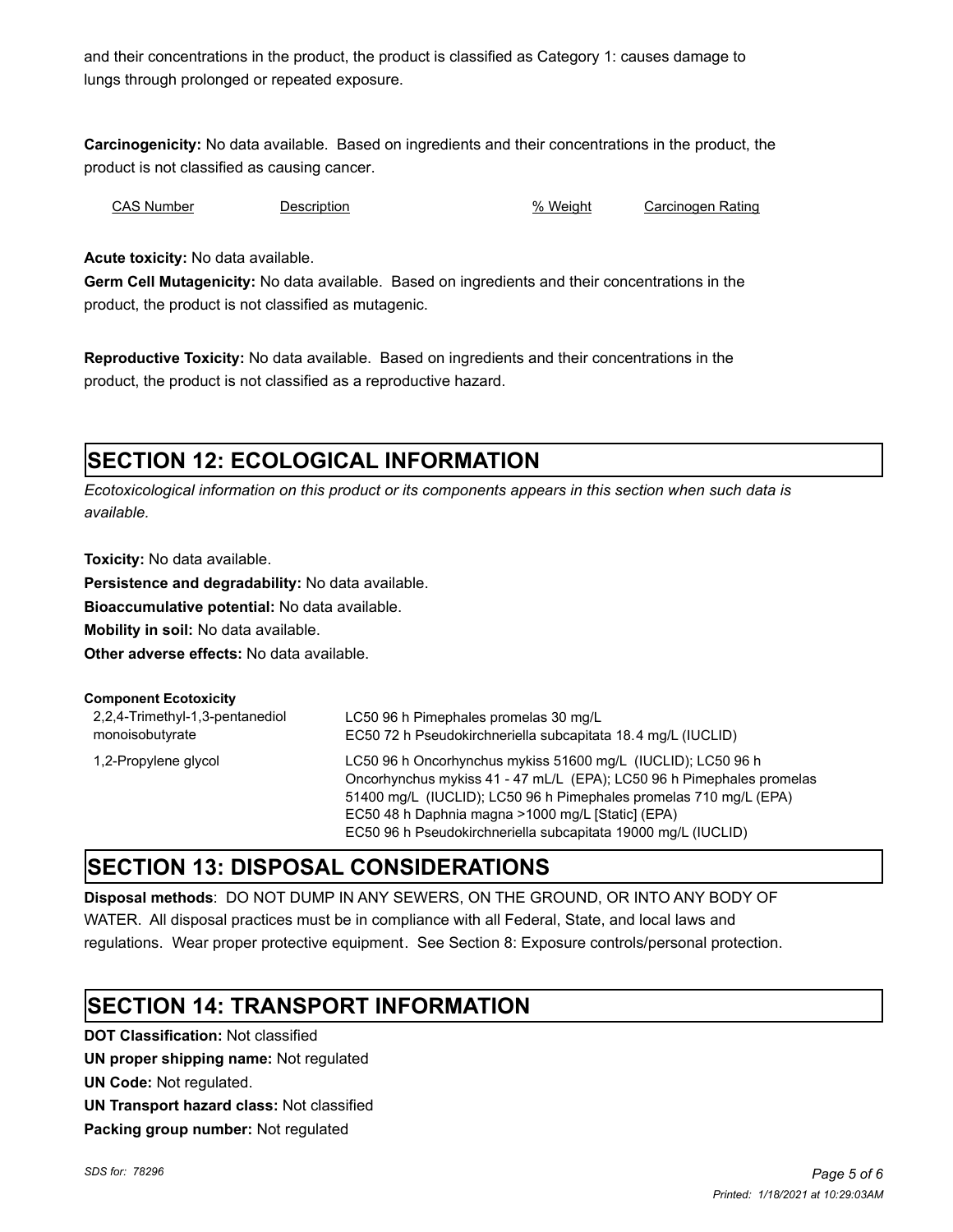and their concentrations in the product, the product is classified as Category 1: causes damage to lungs through prolonged or repeated exposure.

**Carcinogenicity:** No data available. Based on ingredients and their concentrations in the product, the product is not classified as causing cancer.

CAS Number Description % Weight Carcinogen Rating

**Acute toxicity:** No data available.

**Germ Cell Mutagenicity:** No data available. Based on ingredients and their concentrations in the product, the product is not classified as mutagenic.

**Reproductive Toxicity:** No data available. Based on ingredients and their concentrations in the product, the product is not classified as a reproductive hazard.

# **SECTION 12: ECOLOGICAL INFORMATION**

*Ecotoxicological information on this product or its components appears in this section when such data is available.*

**Toxicity:** No data available.

**Persistence and degradability:** No data available.

**Bioaccumulative potential:** No data available.

**Mobility in soil:** No data available.

**Other adverse effects:** No data available.

| <b>Component Ecotoxicity</b>                       |                                                                                                                                                                                                                                                                                                                                  |
|----------------------------------------------------|----------------------------------------------------------------------------------------------------------------------------------------------------------------------------------------------------------------------------------------------------------------------------------------------------------------------------------|
| 2,2,4-Trimethyl-1,3-pentanediol<br>monoisobutyrate | LC50 96 h Pimephales promelas 30 mg/L<br>EC50 72 h Pseudokirchneriella subcapitata 18.4 mg/L (IUCLID)                                                                                                                                                                                                                            |
| 1,2-Propylene glycol                               | LC50 96 h Oncorhynchus mykiss 51600 mg/L (IUCLID); LC50 96 h<br>Oncorhynchus mykiss 41 - 47 mL/L (EPA); LC50 96 h Pimephales promelas<br>51400 mg/L (IUCLID); LC50 96 h Pimephales promelas 710 mg/L (EPA)<br>EC50 48 h Daphnia magna >1000 mg/L [Static] (EPA)<br>EC50 96 h Pseudokirchneriella subcapitata 19000 mg/L (IUCLID) |

### **SECTION 13: DISPOSAL CONSIDERATIONS**

**Disposal methods**: DO NOT DUMP IN ANY SEWERS, ON THE GROUND, OR INTO ANY BODY OF WATER. All disposal practices must be in compliance with all Federal, State, and local laws and regulations. Wear proper protective equipment. See Section 8: Exposure controls/personal protection.

# **SECTION 14: TRANSPORT INFORMATION**

**DOT Classification:** Not classified **UN proper shipping name:** Not regulated **UN Code:** Not regulated. **UN Transport hazard class:** Not classified **Packing group number:** Not regulated